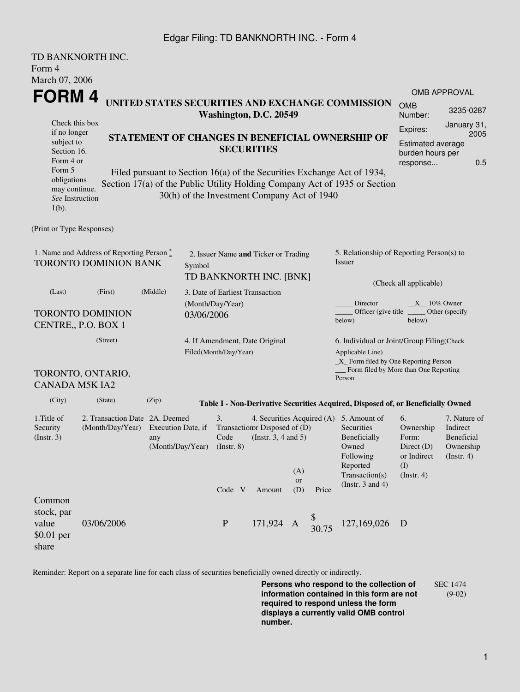## Edgar Filing: TD BANKNORTH INC. - Form 4

|                                                                            | TD BANKNORTH INC.              |                                      |                                                                 |                             |                                             |                                                            |                                           |                                                                                  |                             |                                |  |  |
|----------------------------------------------------------------------------|--------------------------------|--------------------------------------|-----------------------------------------------------------------|-----------------------------|---------------------------------------------|------------------------------------------------------------|-------------------------------------------|----------------------------------------------------------------------------------|-----------------------------|--------------------------------|--|--|
| Form 4                                                                     |                                |                                      |                                                                 |                             |                                             |                                                            |                                           |                                                                                  |                             |                                |  |  |
| March 07, 2006                                                             |                                |                                      |                                                                 |                             |                                             |                                                            |                                           |                                                                                  |                             |                                |  |  |
| FORM 4                                                                     |                                |                                      |                                                                 |                             |                                             |                                                            |                                           |                                                                                  | <b>OMB APPROVAL</b>         |                                |  |  |
| UNITED STATES SECURITIES AND EXCHANGE COMMISSION<br>Washington, D.C. 20549 |                                |                                      |                                                                 |                             |                                             |                                                            |                                           |                                                                                  | <b>OMB</b><br>Number:       | 3235-0287                      |  |  |
| Check this box                                                             |                                |                                      |                                                                 |                             |                                             |                                                            |                                           | Expires:                                                                         | January 31,                 |                                |  |  |
| if no longer<br>subject to                                                 |                                |                                      |                                                                 |                             |                                             |                                                            |                                           | STATEMENT OF CHANGES IN BENEFICIAL OWNERSHIP OF                                  | 2005                        |                                |  |  |
| Section 16.                                                                |                                |                                      | <b>SECURITIES</b>                                               |                             |                                             |                                                            | Estimated average<br>burden hours per     |                                                                                  |                             |                                |  |  |
| Form 4 or                                                                  |                                |                                      |                                                                 |                             |                                             |                                                            |                                           |                                                                                  | response                    | 0.5                            |  |  |
| Form 5                                                                     |                                |                                      |                                                                 |                             |                                             |                                                            |                                           | Filed pursuant to Section 16(a) of the Securities Exchange Act of 1934,          |                             |                                |  |  |
| obligations<br>may continue.                                               |                                |                                      |                                                                 |                             |                                             |                                                            |                                           | Section 17(a) of the Public Utility Holding Company Act of 1935 or Section       |                             |                                |  |  |
| See Instruction                                                            |                                |                                      |                                                                 |                             | 30(h) of the Investment Company Act of 1940 |                                                            |                                           |                                                                                  |                             |                                |  |  |
| $1(b)$ .                                                                   |                                |                                      |                                                                 |                             |                                             |                                                            |                                           |                                                                                  |                             |                                |  |  |
|                                                                            |                                |                                      |                                                                 |                             |                                             |                                                            |                                           |                                                                                  |                             |                                |  |  |
| (Print or Type Responses)                                                  |                                |                                      |                                                                 |                             |                                             |                                                            |                                           |                                                                                  |                             |                                |  |  |
| 1. Name and Address of Reporting Person $\degree$                          |                                | 2. Issuer Name and Ticker or Trading |                                                                 |                             |                                             |                                                            | 5. Relationship of Reporting Person(s) to |                                                                                  |                             |                                |  |  |
| TORONTO DOMINION BANK                                                      |                                | Symbol                               |                                                                 |                             |                                             |                                                            | <i>Issuer</i>                             |                                                                                  |                             |                                |  |  |
|                                                                            |                                |                                      |                                                                 |                             |                                             |                                                            |                                           |                                                                                  |                             |                                |  |  |
|                                                                            |                                | TD BANKNORTH INC. [BNK]              |                                                                 |                             |                                             |                                                            | (Check all applicable)                    |                                                                                  |                             |                                |  |  |
| (Middle)<br>(Last)<br>(First)                                              |                                |                                      | 3. Date of Earliest Transaction                                 |                             |                                             |                                                            |                                           |                                                                                  |                             |                                |  |  |
| <b>TORONTO DOMINION</b>                                                    |                                |                                      |                                                                 | (Month/Day/Year)            |                                             |                                                            |                                           | $X = 10\%$ Owner<br>Director<br>Officer (give title)<br>Other (specify           |                             |                                |  |  |
| CENTRE,, P.O. BOX 1                                                        |                                |                                      | 03/06/2006                                                      |                             |                                             |                                                            |                                           | below)<br>below)                                                                 |                             |                                |  |  |
|                                                                            |                                |                                      |                                                                 |                             |                                             |                                                            |                                           |                                                                                  |                             |                                |  |  |
| (Street)                                                                   |                                |                                      |                                                                 |                             | 4. If Amendment, Date Original              |                                                            |                                           | 6. Individual or Joint/Group Filing(Check                                        |                             |                                |  |  |
|                                                                            | Filed(Month/Day/Year)          |                                      |                                                                 |                             |                                             | Applicable Line)<br>_X_ Form filed by One Reporting Person |                                           |                                                                                  |                             |                                |  |  |
|                                                                            | TORONTO, ONTARIO,              |                                      |                                                                 |                             |                                             |                                                            |                                           | Form filed by More than One Reporting                                            |                             |                                |  |  |
| <b>CANADA M5K IA2</b>                                                      |                                |                                      |                                                                 |                             |                                             |                                                            |                                           | Person                                                                           |                             |                                |  |  |
|                                                                            |                                |                                      |                                                                 |                             |                                             |                                                            |                                           |                                                                                  |                             |                                |  |  |
| (City)                                                                     | (State)                        | (Zip)                                |                                                                 |                             |                                             |                                                            |                                           | Table I - Non-Derivative Securities Acquired, Disposed of, or Beneficially Owned |                             |                                |  |  |
| 1. Title of                                                                | 2. Transaction Date 2A. Deemed |                                      | 3.<br>4. Securities Acquired (A) 5. Amount of                   |                             |                                             |                                                            |                                           | 6.                                                                               | 7. Nature of                |                                |  |  |
| Security                                                                   | (Month/Day/Year)               | Execution Date, if                   |                                                                 | Transaction Disposed of (D) |                                             |                                                            |                                           | Securities                                                                       | Ownership                   | Indirect                       |  |  |
| $($ Instr. 3 $)$                                                           |                                | any                                  | Code<br>(Instr. $3, 4$ and $5$ )<br>(Month/Day/Year) (Instr. 8) |                             |                                             |                                                            |                                           | Beneficially<br>Owned                                                            | Form:                       | <b>Beneficial</b><br>Ownership |  |  |
|                                                                            |                                |                                      |                                                                 |                             |                                             |                                                            |                                           | Following                                                                        | Direct $(D)$<br>or Indirect | (Insert. 4)                    |  |  |
|                                                                            |                                |                                      |                                                                 |                             |                                             |                                                            |                                           | Reported                                                                         | (I)                         |                                |  |  |
|                                                                            |                                |                                      |                                                                 |                             |                                             | (A)<br><b>or</b>                                           |                                           | Transaction(s)                                                                   | $($ Instr. 4 $)$            |                                |  |  |
|                                                                            |                                |                                      |                                                                 | Code V                      | Amount                                      | (D)                                                        | Price                                     | (Instr. $3$ and $4$ )                                                            |                             |                                |  |  |
| Common                                                                     |                                |                                      |                                                                 |                             |                                             |                                                            |                                           |                                                                                  |                             |                                |  |  |
| stock, par                                                                 |                                |                                      |                                                                 |                             |                                             |                                                            |                                           |                                                                                  |                             |                                |  |  |
| value                                                                      | 03/06/2006                     |                                      |                                                                 | $\, {\bf P}$                | 171,924 A                                   |                                                            |                                           | 127,169,026                                                                      | $\overline{D}$              |                                |  |  |
| $$0.01$ per                                                                |                                |                                      |                                                                 |                             |                                             |                                                            |                                           |                                                                                  |                             |                                |  |  |
| share                                                                      |                                |                                      |                                                                 |                             |                                             |                                                            |                                           |                                                                                  |                             |                                |  |  |

Reminder: Report on a separate line for each class of securities beneficially owned directly or indirectly.

**Persons who respond to the collection of information contained in this form are not required to respond unless the form displays a currently valid OMB control number.** SEC 1474 (9-02)